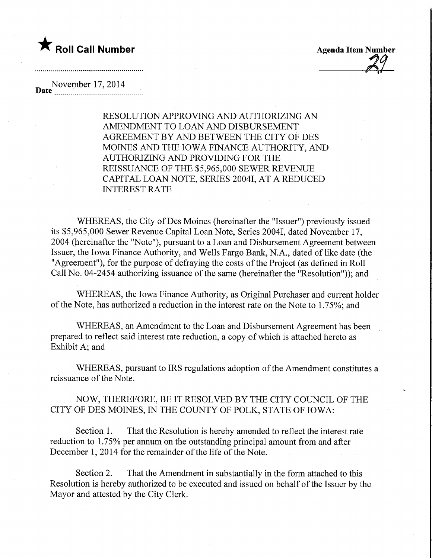## **The Roll Call Number Agents Container Agents Item Number**

November 17,2014  $\bf{Date}^{\dagger}$ 

> RESOLUTION APPROVING AND AUTHORIZING AN AMENDMENT TO LOAN AND DISBURSEMENT AGREEMENT BY AND BETWEEN THE CITY OF DES MOINES AND THE IOWA FINANCE AUTHORITY, AND AUTHORIZING AND PROVIDING FOR THE REISSUANCE OF THE \$5,965,000 SEWER REVENUE CAPITAL LOAN NOTE, SERIES 20041, AT A REDUCED INTEREST RATE

WHEREAS, the City of Des Moines (hereinafter the "Issuer") previously issued its \$5,965,000 Sewer Revenue Capital Loan Note, Series 20041, dated November 17, 2004 (hereinafter the "Note"), pursuant to a Loan and Disbursement Agreement between Issuer, the Iowa Finance Authority, and Wells Fargo Bank, N.A., dated of like date (the "Agreement"), for the purpose of defraying the costs of the Project (as defined in Roll Call No. 04-2454 authorizing issuance of the same (hereinafter the "Resolution")); and

WHEREAS, the Iowa Finance Authority, as Original Purchaser and current holder of the Note, has authorized a reduction in the interest rate on the Note to 1.75%; and

WHEREAS, an Amendment to the Loan and Disbursement Agreement has been prepared to reflect said interest rate reduction, a copy of which is attached hereto as Exhibit A; and

WHEREAS, pursuant to IRS regulations adoption of the Amendment constitutes a reissuance of the Note.

NOW, THEREFORE, BE IT RESOLVED BY THE CITY COUNCIL OF THE CITY OF DES MOINES, IN THE COUNTY OF POLK, STATE OF IOWA:

Section 1. That the Resolution is hereby amended to reflect the interest rate reduction to 1.75% per annum on the outstanding principal amount from and after December 1, 2014 for the remainder of the life of the Note.

Section 2. That the Amendment in substantially in the form attached to this Resolution is hereby authorized to be executed and issued on behalf of the Issuer by the Mayor and attested by the City Clerk.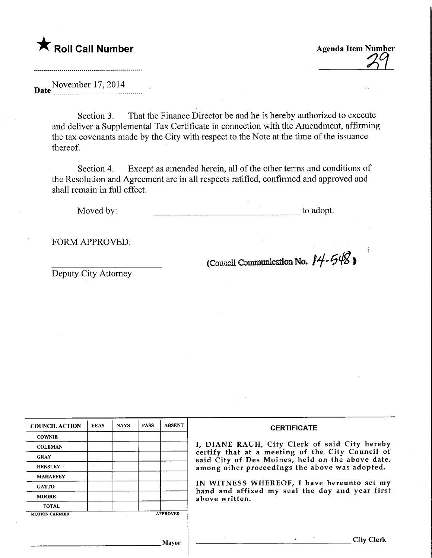

Agenda Item Number

Date November 17, 2014

Section 3. That the Finance Director be and he is hereby authorized to execute and deliver a Supplemental Tax Certificate in connection with the Amendment, affirming the tax covenants made by the City with respect to the Note at the time of the issuance thereof.

Section 4. Except as amended herein, all of the other terms and conditions of the Resolution and Agreement are in all respects ratified, confirmed and approved and shall remain in full effect.

Moved by: to adopt.

FORM APPROVED:

Deputy City Attorney

(Council Communication No.  $14 - 548$ )

| <b>COUNCIL ACTION</b> | <b>YEAS</b> | <b>NAYS</b> | <b>PASS</b> | <b>ABSENT</b>   | <b>CERTIFICATE</b>                                                                                                                                                                                      |  |  |
|-----------------------|-------------|-------------|-------------|-----------------|---------------------------------------------------------------------------------------------------------------------------------------------------------------------------------------------------------|--|--|
| <b>COWNIE</b>         |             |             |             |                 |                                                                                                                                                                                                         |  |  |
| <b>COLEMAN</b>        |             |             |             |                 | I, DIANE RAUH, City Clerk of said City hereby<br>certify that at a meeting of the City Council of<br>said City of Des Moines, held on the above date,<br>among other proceedings the above was adopted. |  |  |
| <b>GRAY</b>           |             |             |             |                 |                                                                                                                                                                                                         |  |  |
| <b>HENSLEY</b>        |             |             |             |                 |                                                                                                                                                                                                         |  |  |
| <b>MAHAFFEY</b>       |             |             |             |                 |                                                                                                                                                                                                         |  |  |
| <b>GATTO</b>          |             |             |             |                 | IN WITNESS WHEREOF, I have hereunto set my<br>hand and affixed my seal the day and year first<br>above written.                                                                                         |  |  |
| <b>MOORE</b>          |             |             |             |                 |                                                                                                                                                                                                         |  |  |
| <b>TOTAL</b>          |             |             |             |                 |                                                                                                                                                                                                         |  |  |
| <b>MOTION CARRIED</b> |             |             |             | <b>APPROVED</b> |                                                                                                                                                                                                         |  |  |
|                       |             |             |             |                 |                                                                                                                                                                                                         |  |  |
|                       |             |             |             | Mayor           | City                                                                                                                                                                                                    |  |  |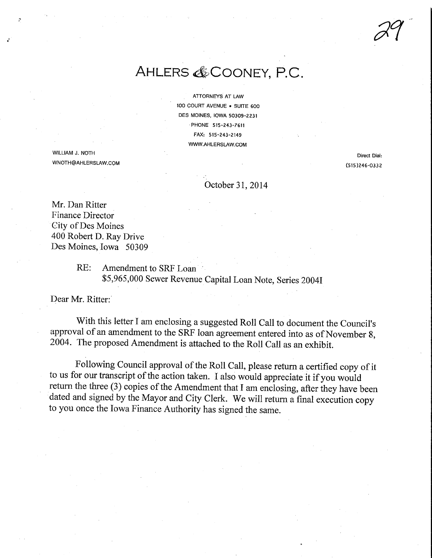29

## AHLERS & COONEY, P.C.

ATTORNEYS AT LAW 100 COURT AVENUE • SUITE 600 DES MOINES, IOWA 50309-Z231 PHONE 515-243-7611 FAX: 515-243-2149 WWW.AHLERSLAW.COM

WWW.AHLERSLAW.COM<br>WILLIAM J. NOTH<br>WICTUO UU ERSLUX OOL است.<br>WNOTH@AHLERSLAW.COM (515)246-0332<br>Campbell 2015)246-0332

## October 31,2014

Mr. Dan Ritter Finance Director City of Des Moines 400 Robert D. Ray Drive Des Moines, Iowa 50309

## RE: Amendment to SRF Loan \$5,965,000 Sewer Revenue Capital Loan Note, Series 20041

Dear Mr. Ritter:

With this letter I am enclosing a suggested Roll Call to document the Council's approval of an amendment to the SRF loan agreement entered into as of November 8, 2004. The proposed Amendment is attached to the Roll Call as an exhibit.

Following Council approval of the Roll Call, please return a certified copy of it to us for our transcript of the action taken. I also would appreciate it if you would return the three (3) copies of the Amendment that I am enclosing, after they have been dated and signed by the Mayor and City Clerk. We will return a final execution copy to you once the Iowa Finance Authority has signed the same.